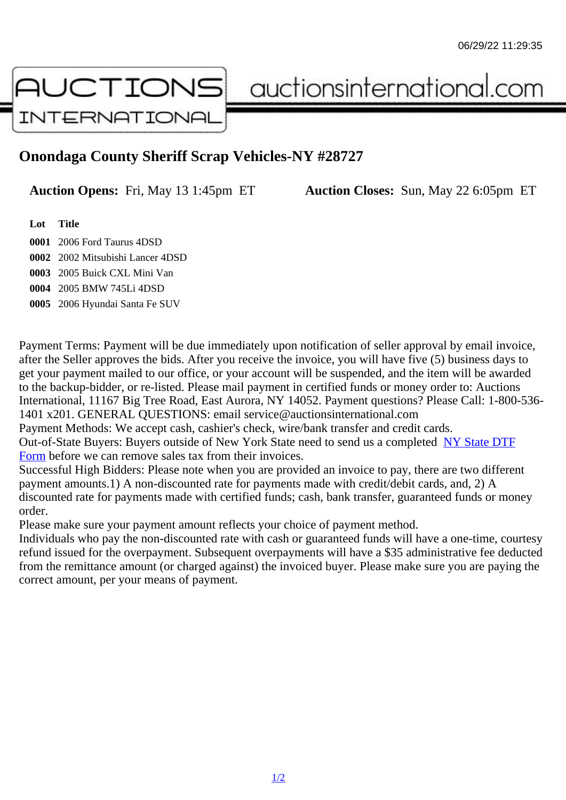## Onondaga County Sheriff Scrap Vehicles-NY #28727

Auction Opens: Fri, May 13 1:45pm ET Auction Closes: Sun, May 22 6:05pm ET

Lot Title

 2006 Ford Taurus 4DSD 2002 Mitsubishi Lancer 4DSD 2005 Buick CXL Mini Van 2005 BMW 745Li 4DSD 2006 Hyundai Santa Fe SUV

Payment Terms: Payment will be due immediately upon notification of seller approval by email invoice, after the Seller approves the bids. After you receive the invoice, you will have five (5) business days to get your payment mailed to our office, or your account will be suspended, and the item will be awarded to the backup-bidder, or re-listed. Please mail payment in certified funds or money order to: Auctions International, 11167 Big Tree Road, East Aurora, NY 14052. Payment questions? Please Call: 1-800-53 1401 x201. GENERAL QUESTIONS: email service@auctionsinternational.com

Payment Methods: We accept cash, cashier's check, wire/bank transfer and credit cards.

Out-of-State Buyers: Buyers outside of New York State need to send us a com De Badte DTF Form before we can remove sales tax from their invoices.

Successful High Bidders: Please note when you are provided an invoice to pay, there are two different payment amounts.1) A non-discounted rate for payments made with credit/de[bit cards, and](https://www.auctionsinternational.com/auxiliary/downloads/DTF_Form/dtf_fill_in.pdf), 2) A [disco](https://www.auctionsinternational.com/auxiliary/downloads/DTF_Form/dtf_fill_in.pdf)unted rate for payments made with certified funds; cash, bank transfer, quaranteed funds or mone order.

Please make sure your payment amount reflects your choice of payment method.

Individuals who pay the non-discounted rate with cash or quaranteed funds will have a one-time, courte refund issued for the overpayment. Subsequent overpayments will have a \$35 administrative fee deduc from the remittance amount (or charged against) the invoiced buyer. Please make sure you are paying correct amount, per your means of payment.